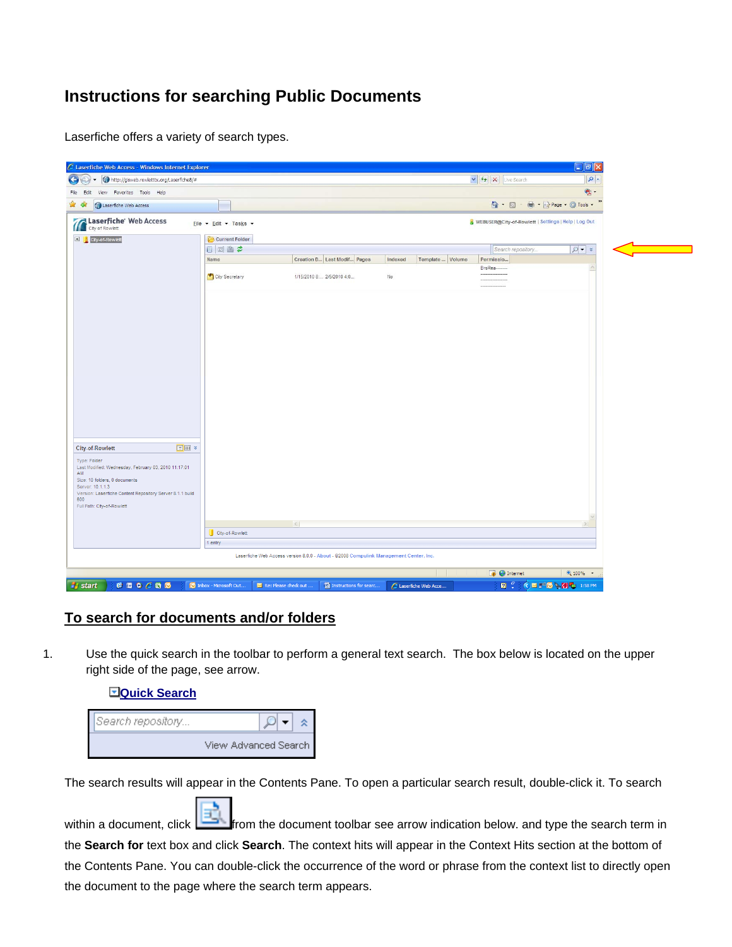## **Instructions for searching Public Documents**

Laserfiche offers a variety of search types.



## **To search for documents and/or folders**

1. Use the quick search in the toolbar to perform a general text search. The box below is located on the upper right side of the page, see arrow.

| <b>EQuick Search</b> |                      |
|----------------------|----------------------|
| Search repository    |                      |
|                      | View Advanced Search |

The search results will appear in the Contents Pane. To open a particular search result, double-click it. To search

within a document, click  $\boxed{\frac{1}{n}}$  from the document toolbar see arrow indication below. and type the search term in the **Search for** text box and click **Search**. The context hits will appear in the Context Hits section at the bottom of the Contents Pane. You can double-click the occurrence of the word or phrase from the context list to directly open the document to the page where the search term appears.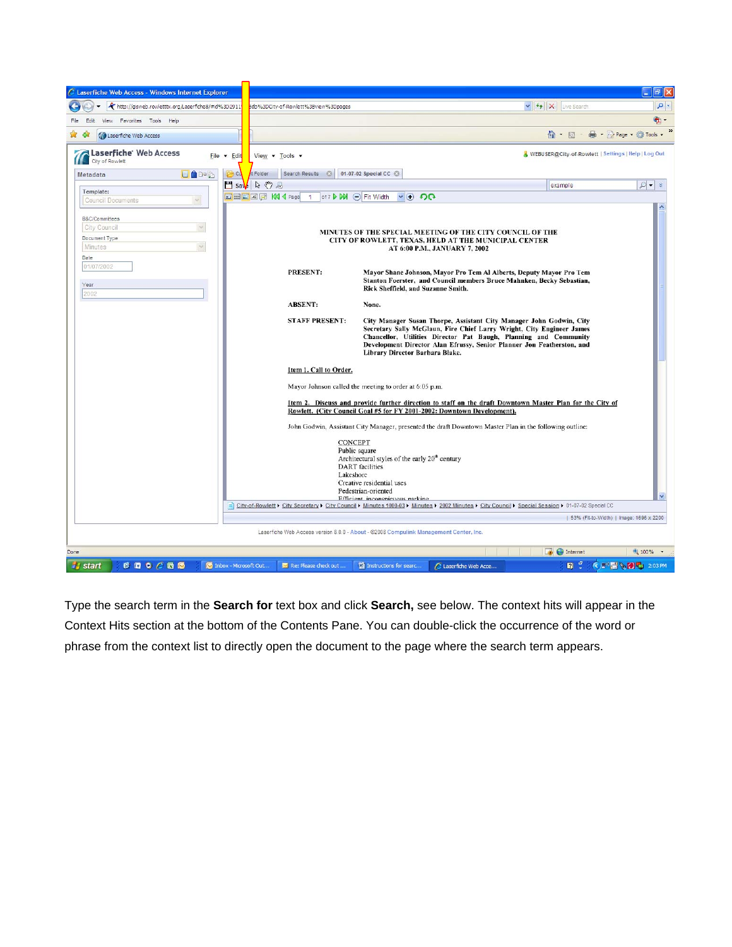

Type the search term in the **Search for** text box and click **Search,** see below. The context hits will appear in the Context Hits section at the bottom of the Contents Pane. You can double-click the occurrence of the word or phrase from the context list to directly open the document to the page where the search term appears.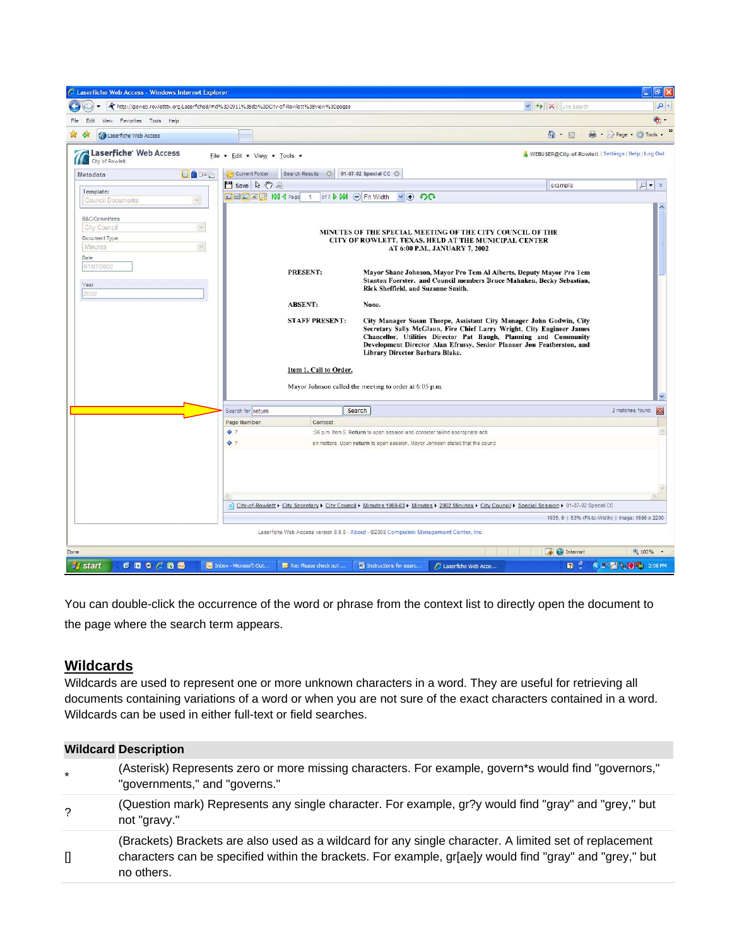| C Laserfiche Web Access - Windows Internet Explorer                                                                    |                                                                                          |                                                                                                                                                                                                                                                                                                                               |                                                                  |                                     |
|------------------------------------------------------------------------------------------------------------------------|------------------------------------------------------------------------------------------|-------------------------------------------------------------------------------------------------------------------------------------------------------------------------------------------------------------------------------------------------------------------------------------------------------------------------------|------------------------------------------------------------------|-------------------------------------|
|                                                                                                                        | http://gisweb.rowletttx.org/Laserfiche8/#id%3D2911%3Bdb%3DCity-of-Rowlett%3Bview%3Dpages |                                                                                                                                                                                                                                                                                                                               | $\triangledown$ $\left  \leftarrow \right $ $\times$ Live Search | Q                                   |
| Favorites Tools<br>Help<br>Edit<br>View                                                                                |                                                                                          |                                                                                                                                                                                                                                                                                                                               |                                                                  | $\oplus$ -                          |
| <b>M</b> Laserfiche Web Access                                                                                         |                                                                                          |                                                                                                                                                                                                                                                                                                                               | ਨ ∙<br>同                                                         | es + il Page + ⊙ Tools +            |
| Laserfiche' Web Access<br>City of Rowlett                                                                              | File - Edit - View - Tools -                                                             |                                                                                                                                                                                                                                                                                                                               | WEBUSER@City-of-Rowlett   Settings   Help   Log Out              |                                     |
| 目台中心<br>Metadata                                                                                                       | Current Folder<br>Search Results ©<br>$\Box$ Save $\Box$ $\Diamond$                      | 01-07-02 Special CC 3                                                                                                                                                                                                                                                                                                         | example                                                          | $\mathcal{Q}$ - $\times$            |
| Template:<br>$\sim$<br><b>Council Documents</b>                                                                        | <b>EEE</b> AA W 4 Page<br>$\overline{1}$                                                 | of 7 D D Fit Width<br>$\vee$ $\oplus$ $\circ$                                                                                                                                                                                                                                                                                 |                                                                  |                                     |
| B&C/Committees<br>$\sim$<br>City Council<br>Document Type<br>$\overline{\mathcal{L}}$<br>Minutes<br>Date<br>01/07/2002 |                                                                                          | MINUTES OF THE SPECIAL MEETING OF THE CITY COUNCIL OF THE<br>CITY OF ROWLETT, TEXAS, HELD AT THE MUNICIPAL CENTER<br>AT 6:00 P.M., JANUARY 7, 2002                                                                                                                                                                            |                                                                  |                                     |
| Year<br>2002                                                                                                           | PRESENT:                                                                                 | Mayor Shane Johnson, Mayor Pro Tem Al Alberts, Deputy Mayor Pro Tem<br>Stanton Foerster, and Council members Bruce Mahnken, Becky Sebastian,<br>Rick Sheffield, and Suzanne Smith.                                                                                                                                            |                                                                  |                                     |
|                                                                                                                        | <b>ABSENT:</b>                                                                           | None.                                                                                                                                                                                                                                                                                                                         |                                                                  |                                     |
|                                                                                                                        | <b>STAFF PRESENT:</b><br>Item 1. Call to Order.                                          | City Manager Susan Thorpe, Assistant City Manager John Godwin, City<br>Secretary Sally McGlaun, Fire Chief Larry Wright, City Engineer James<br>Chancellor, Utilities Director Pat Baugh, Planning and Community<br>Development Director Alan Efrussy, Senior Planner Jon Featherston, and<br>Library Director Barbara Blake. |                                                                  |                                     |
|                                                                                                                        |                                                                                          | Mayor Johnson called the meeting to order at 6:05 p.m.                                                                                                                                                                                                                                                                        |                                                                  |                                     |
|                                                                                                                        | Search for return                                                                        | Search                                                                                                                                                                                                                                                                                                                        |                                                                  | 2 matches found.<br>$\vert x \vert$ |
|                                                                                                                        | Page Number<br>Context                                                                   |                                                                                                                                                                                                                                                                                                                               |                                                                  |                                     |
|                                                                                                                        | $\bullet$ 7                                                                              | :56 p.m. Item 5. Return to open session and consider takine acoropriate acti                                                                                                                                                                                                                                                  |                                                                  |                                     |
|                                                                                                                        | $^{\circ}$ 7                                                                             | on matters. Upon return to open session, Mayor Johnson stated that the counc<br>City-of-Rowlett > City Secretary > City Council > Minutes 1000-03 > Minutes > 2002 Minutes > City Council > Special Session > 01-07-02 Special CC                                                                                             | 1035, 9   53% (Fit-to-Width)   Image: 1696 x 2200                |                                     |
|                                                                                                                        |                                                                                          | Laserfiche Web Access version 8.0.0 - About - @2008 Compulink Management Center, Inc.                                                                                                                                                                                                                                         |                                                                  |                                     |
| Done                                                                                                                   |                                                                                          |                                                                                                                                                                                                                                                                                                                               | <b>D</b> Internet                                                | $0.100\%$ .                         |
| 600000<br><b><i>i</i></b> start                                                                                        | Microsoft Out<br>Re: Please check out                                                    | Instructions for searc<br>Laserfiche Web Acce                                                                                                                                                                                                                                                                                 | $R^2$                                                            | <b>《 图量 % 〇 - 2:08 PM</b>           |

You can double-click the occurrence of the word or phrase from the context list to directly open the document to the page where the search term appears.

## **Wildcards**

**Wildcard Description** 

Wildcards are used to represent one or more unknown characters in a word. They are useful for retrieving all documents containing variations of a word or when you are not sure of the exact characters contained in a word. Wildcards can be used in either full-text or field searches.

|              | <b>Wildcard Description</b>                                                                                                                                                                                                     |
|--------------|---------------------------------------------------------------------------------------------------------------------------------------------------------------------------------------------------------------------------------|
| $\star$      | (Asterisk) Represents zero or more missing characters. For example, govern*s would find "governors,"<br>"governments," and "governs."                                                                                           |
| ?            | (Question mark) Represents any single character. For example, gr?y would find "gray" and "grey," but<br>not "gravy."                                                                                                            |
| $\mathbf{I}$ | (Brackets) Brackets are also used as a wildcard for any single character. A limited set of replacement<br>characters can be specified within the brackets. For example, gr[ae]y would find "gray" and "grey," but<br>no others. |